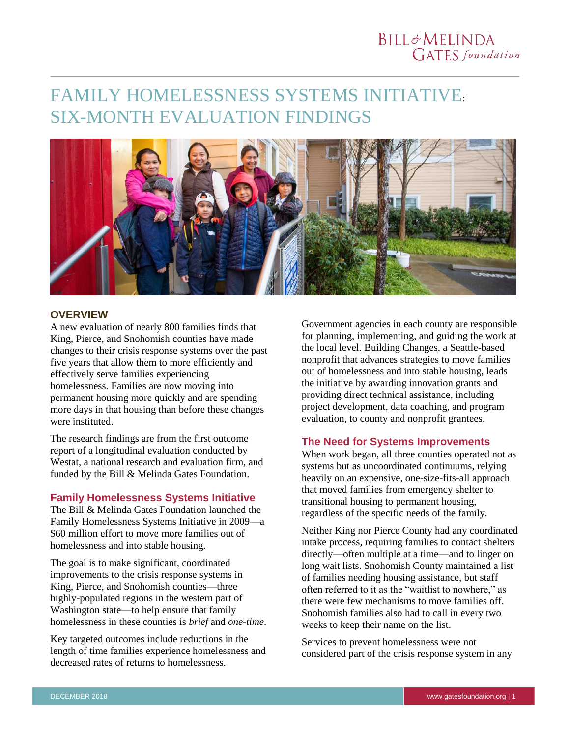# **BILL&MELINDA GATES** foundation

# FAMILY HOMELESSNESS SYSTEMS INITIATIVE: SIX-MONTH EVALUATION FINDINGS



#### **OVERVIEW**

A new evaluation of nearly 800 families finds that King, Pierce, and Snohomish counties have made changes to their crisis response systems over the past five years that allow them to more efficiently and effectively serve families experiencing homelessness. Families are now moving into permanent housing more quickly and are spending more days in that housing than before these changes were instituted.

The research findings are from the first outcome report of a longitudinal evaluation conducted by Westat, a national research and evaluation firm, and funded by the Bill & Melinda Gates Foundation.

# **Family Homelessness Systems Initiative**

The Bill & Melinda Gates Foundation launched the Family Homelessness Systems Initiative in 2009—a \$60 million effort to move more families out of homelessness and into stable housing.

The goal is to make significant, coordinated improvements to the crisis response systems in King, Pierce, and Snohomish counties—three highly-populated regions in the western part of Washington state—to help ensure that family homelessness in these counties is *brief* and *one-time*.

Key targeted outcomes include reductions in the length of time families experience homelessness and decreased rates of returns to homelessness.

Government agencies in each county are responsible for planning, implementing, and guiding the work at the local level. Building Changes, a Seattle-based nonprofit that advances strategies to move families out of homelessness and into stable housing, leads the initiative by awarding innovation grants and providing direct technical assistance, including project development, data coaching, and program evaluation, to county and nonprofit grantees.

### **The Need for Systems Improvements**

When work began, all three counties operated not as systems but as uncoordinated continuums, relying heavily on an expensive, one-size-fits-all approach that moved families from emergency shelter to transitional housing to permanent housing, regardless of the specific needs of the family.

Neither King nor Pierce County had any coordinated intake process, requiring families to contact shelters directly—often multiple at a time—and to linger on long wait lists. Snohomish County maintained a list of families needing housing assistance, but staff often referred to it as the "waitlist to nowhere," as there were few mechanisms to move families off. Snohomish families also had to call in every two weeks to keep their name on the list.

Services to prevent homelessness were not considered part of the crisis response system in any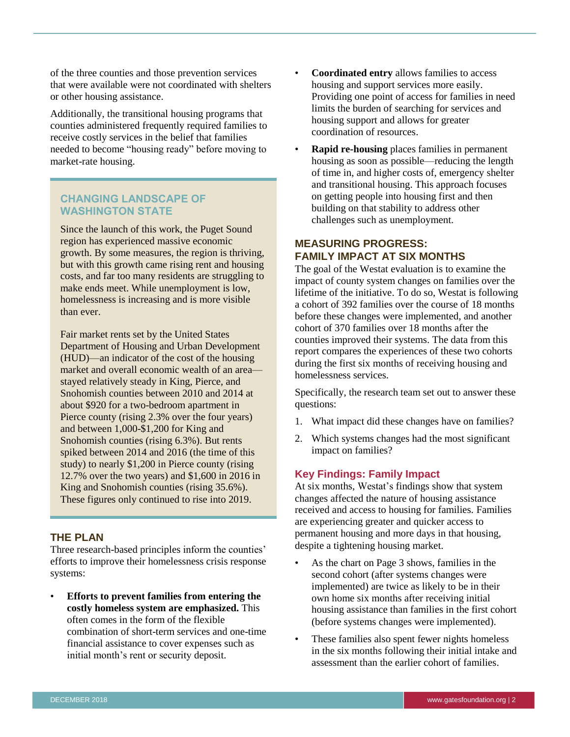of the three counties and those prevention services that were available were not coordinated with shelters or other housing assistance.

Additionally, the transitional housing programs that counties administered frequently required families to receive costly services in the belief that families needed to become "housing ready" before moving to market-rate housing.

# **CHANGING LANDSCAPE OF WASHINGTON STATE**

Since the launch of this work, the Puget Sound region has experienced massive economic growth. By some measures, the region is thriving, but with this growth came rising rent and housing costs, and far too many residents are struggling to make ends meet. While unemployment is low, homelessness is increasing and is more visible than ever.

Fair market rents set by the United States Department of Housing and Urban Development (HUD)—an indicator of the cost of the housing market and overall economic wealth of an area stayed relatively steady in King, Pierce, and Snohomish counties between 2010 and 2014 at about \$920 for a two-bedroom apartment in Pierce county (rising 2.3% over the four years) and between 1,000-\$1,200 for King and Snohomish counties (rising 6.3%). But rents spiked between 2014 and 2016 (the time of this study) to nearly \$1,200 in Pierce county (rising 12.7% over the two years) and \$1,600 in 2016 in King and Snohomish counties (rising 35.6%). These figures only continued to rise into 2019.

# **THE PLAN**

Three research-based principles inform the counties' efforts to improve their homelessness crisis response systems:

• **Efforts to prevent families from entering the costly homeless system are emphasized.** This often comes in the form of the flexible combination of short-term services and one-time financial assistance to cover expenses such as initial month's rent or security deposit.

- **Coordinated entry** allows families to access housing and support services more easily. Providing one point of access for families in need limits the burden of searching for services and housing support and allows for greater coordination of resources.
- **Rapid re-housing** places families in permanent housing as soon as possible—reducing the length of time in, and higher costs of, emergency shelter and transitional housing. This approach focuses on getting people into housing first and then building on that stability to address other challenges such as unemployment.

#### **MEASURING PROGRESS: FAMILY IMPACT AT SIX MONTHS**

The goal of the Westat evaluation is to examine the impact of county system changes on families over the lifetime of the initiative. To do so, Westat is following a cohort of 392 families over the course of 18 months before these changes were implemented, and another cohort of 370 families over 18 months after the counties improved their systems. The data from this report compares the experiences of these two cohorts during the first six months of receiving housing and homelessness services.

Specifically, the research team set out to answer these questions:

- 1. What impact did these changes have on families?
- 2. Which systems changes had the most significant impact on families?

### **Key Findings: Family Impact**

At six months, Westat's findings show that system changes affected the nature of housing assistance received and access to housing for families. Families are experiencing greater and quicker access to permanent housing and more days in that housing, despite a tightening housing market.

- As the chart on Page 3 shows, families in the second cohort (after systems changes were implemented) are twice as likely to be in their own home six months after receiving initial housing assistance than families in the first cohort (before systems changes were implemented).
- These families also spent fewer nights homeless in the six months following their initial intake and assessment than the earlier cohort of families.